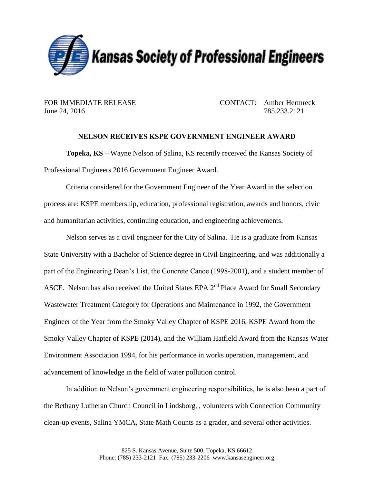

June 24, 2016 785.233.2121

FOR IMMEDIATE RELEASE CONTACT: Amber Hermreck

## **NELSON RECEIVES KSPE GOVERNMENT ENGINEER AWARD**

**Topeka, KS** – Wayne Nelson of Salina, KS recently received the Kansas Society of Professional Engineers 2016 Government Engineer Award.

Criteria considered for the Government Engineer of the Year Award in the selection process are: KSPE membership, education, professional registration, awards and honors, civic and humanitarian activities, continuing education, and engineering achievements.

Nelson serves as a civil engineer for the City of Salina. He is a graduate from Kansas State University with a Bachelor of Science degree in Civil Engineering, and was additionally a part of the Engineering Dean's List, the Concrete Canoe (1998-2001), and a student member of ASCE. Nelson has also received the United States EPA  $2<sup>nd</sup>$  Place Award for Small Secondary Wastewater Treatment Category for Operations and Maintenance in 1992, the Government Engineer of the Year from the Smoky Valley Chapter of KSPE 2016, KSPE Award from the Smoky Valley Chapter of KSPE (2014), and the William Hatfield Award from the Kansas Water Environment Association 1994, for his performance in works operation, management, and advancement of knowledge in the field of water pollution control.

In addition to Nelson's government engineering responsibilities, he is also been a part of the Bethany Lutheran Church Council in Lindsborg, , volunteers with Connection Community clean-up events, Salina YMCA, State Math Counts as a grader, and several other activities.